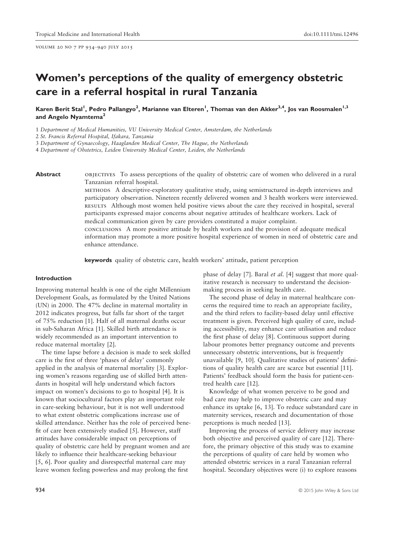volume 20 no 7 pp 934–940 july 2015

# Women's perceptions of the quality of emergency obstetric care in a referral hospital in rural Tanzania

Karen Berit Stal<sup>l</sup>, Pedro Pallangyo<sup>2</sup>, Marianne van Elteren<sup>1</sup>, Thomas van den Akker<sup>3,4</sup>, Jos van Roosmalen<sup>1,3</sup> and Angelo Nyamtema<sup>2</sup>

1 Department of Medical Humanities, VU University Medical Center, Amsterdam, the Netherlands

2 St. Francis Referral Hospital, Ifakara, Tanzania

3 Department of Gynaecology, Haaglanden Medical Center, The Hague, the Netherlands

4 Department of Obstetrics, Leiden University Medical Center, Leiden, the Netherlands

Abstract objectives To assess perceptions of the quality of obstetric care of women who delivered in a rural Tanzanian referral hospital.

> methods A descriptive-exploratory qualitative study, using semistructured in-depth interviews and participatory observation. Nineteen recently delivered women and 3 health workers were interviewed. results Although most women held positive views about the care they received in hospital, several participants expressed major concerns about negative attitudes of healthcare workers. Lack of medical communication given by care providers constituted a major complaint.

> conclusions A more positive attitude by health workers and the provision of adequate medical information may promote a more positive hospital experience of women in need of obstetric care and enhance attendance.

keywords quality of obstetric care, health workers' attitude, patient perception

#### Introduction

Improving maternal health is one of the eight Millennium Development Goals, as formulated by the United Nations (UN) in 2000. The 47% decline in maternal mortality in 2012 indicates progress, but falls far short of the target of 75% reduction [1]. Half of all maternal deaths occur in sub-Saharan Africa [1]. Skilled birth attendance is widely recommended as an important intervention to reduce maternal mortality [2].

The time lapse before a decision is made to seek skilled care is the first of three 'phases of delay' commonly applied in the analysis of maternal mortality [3]. Exploring women's reasons regarding use of skilled birth attendants in hospital will help understand which factors impact on women's decisions to go to hospital [4]. It is known that sociocultural factors play an important role in care-seeking behaviour, but it is not well understood to what extent obstetric complications increase use of skilled attendance. Neither has the role of perceived benefit of care been extensively studied [5]. However, staff attitudes have considerable impact on perceptions of quality of obstetric care held by pregnant women and are likely to influence their healthcare-seeking behaviour [5, 6]. Poor quality and disrespectful maternal care may leave women feeling powerless and may prolong the first

phase of delay [7]. Baral et al. [4] suggest that more qualitative research is necessary to understand the decisionmaking process in seeking health care.

The second phase of delay in maternal healthcare concerns the required time to reach an appropriate facility, and the third refers to facility-based delay until effective treatment is given. Perceived high quality of care, including accessibility, may enhance care utilisation and reduce the first phase of delay [8]. Continuous support during labour promotes better pregnancy outcome and prevents unnecessary obstetric interventions, but is frequently unavailable [9, 10]. Qualitative studies of patients' definitions of quality health care are scarce but essential [11]. Patients' feedback should form the basis for patient-centred health care [12].

Knowledge of what women perceive to be good and bad care may help to improve obstetric care and may enhance its uptake [6, 13]. To reduce substandard care in maternity services, research and documentation of those perceptions is much needed [13].

Improving the process of service delivery may increase both objective and perceived quality of care [12]. Therefore, the primary objective of this study was to examine the perceptions of quality of care held by women who attended obstetric services in a rural Tanzanian referral hospital. Secondary objectives were (i) to explore reasons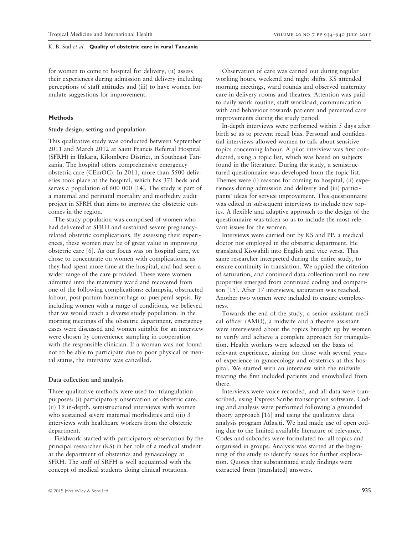for women to come to hospital for delivery, (ii) assess their experiences during admission and delivery including perceptions of staff attitudes and (iii) to have women formulate suggestions for improvement.

## Methods

#### Study design, setting and population

This qualitative study was conducted between September 2011 and March 2012 at Saint Francis Referral Hospital (SFRH) in Ifakara, Kilombero District, in Southeast Tanzania. The hospital offers comprehensive emergency obstetric care (CEmOC). In 2011, more than 5500 deliveries took place at the hospital, which has 371 beds and serves a population of 600 000 [14]. The study is part of a maternal and perinatal mortality and morbidity audit project in SFRH that aims to improve the obstetric outcomes in the region.

The study population was comprised of women who had delivered at SFRH and sustained severe pregnancyrelated obstetric complications. By assessing their experiences, these women may be of great value in improving obstetric care [6]. As our focus was on hospital care, we chose to concentrate on women with complications, as they had spent more time at the hospital, and had seen a wider range of the care provided. These were women admitted into the maternity ward and recovered from one of the following complications: eclampsia, obstructed labour, post-partum haemorrhage or puerperal sepsis. By including women with a range of conditions, we believed that we would reach a diverse study population. In the morning meetings of the obstetric department, emergency cases were discussed and women suitable for an interview were chosen by convenience sampling in cooperation with the responsible clinician. If a woman was not found not to be able to participate due to poor physical or mental status, the interview was cancelled.

#### Data collection and analysis

Three qualitative methods were used for triangulation purposes: (i) participatory observation of obstetric care, (ii) 19 in-depth, semistructured interviews with women who sustained severe maternal morbidities and (iii) 3 interviews with healthcare workers from the obstetric department.

Fieldwork started with participatory observation by the principal researcher (KS) in her role of a medical student at the department of obstetrics and gynaecology at SFRH. The staff of SRFH is well acquainted with the concept of medical students doing clinical rotations.

Observation of care was carried out during regular working hours, weekend and night shifts. KS attended morning meetings, ward rounds and observed maternity care in delivery rooms and theatres. Attention was paid to daily work routine, staff workload, communication with and behaviour towards patients and perceived care improvements during the study period.

In-depth interviews were performed within 5 days after birth so as to prevent recall bias. Personal and confidential interviews allowed women to talk about sensitive topics concerning labour. A pilot interview was first conducted, using a topic list, which was based on subjects found in the literature. During the study, a semistructured questionnaire was developed from the topic list. Themes were (i) reasons for coming to hospital, (ii) experiences during admission and delivery and (iii) participants' ideas for service improvement. This questionnaire was edited in subsequent interviews to include new topics. A flexible and adaptive approach to the design of the questionnaire was taken so as to include the most relevant issues for the women.

Interviews were carried out by KS and PP, a medical doctor not employed in the obstetric department. He translated Kiswahili into English and vice versa. This same researcher interpreted during the entire study, to ensure continuity in translation. We applied the criterion of saturation, and continued data collection until no new properties emerged from continued coding and comparison [15]. After 17 interviews, saturation was reached. Another two women were included to ensure completeness.

Towards the end of the study, a senior assistant medical officer (AMO), a midwife and a theatre assistant were interviewed about the topics brought up by women to verify and achieve a complete approach for triangulation. Health workers were selected on the basis of relevant experience, aiming for those with several years of experience in gynaecology and obstetrics at this hospital. We started with an interview with the midwife treating the first included patients and snowballed from there.

Interviews were voice recorded, and all data were transcribed, using Express Scribe transcription software. Coding and analysis were performed following a grounded theory approach [16] and using the qualitative data analysis program Atlas.ti. We had made use of open coding due to the limited available literature of relevance. Codes and subcodes were formulated for all topics and organised in groups. Analysis was started at the beginning of the study to identify issues for further exploration. Quotes that substantiated study findings were extracted from (translated) answers.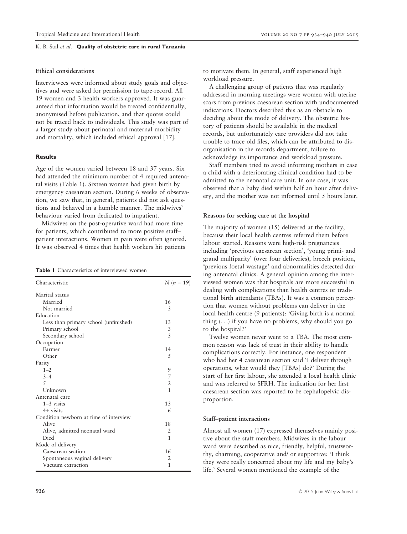## Ethical considerations

Interviewees were informed about study goals and objectives and were asked for permission to tape-record. All 19 women and 3 health workers approved. It was guaranteed that information would be treated confidentially, anonymised before publication, and that quotes could not be traced back to individuals. This study was part of a larger study about perinatal and maternal morbidity and mortality, which included ethical approval [17].

## **Results**

Age of the women varied between 18 and 37 years. Six had attended the minimum number of 4 required antenatal visits (Table 1). Sixteen women had given birth by emergency caesarean section. During 6 weeks of observation, we saw that, in general, patients did not ask questions and behaved in a humble manner. The midwives' behaviour varied from dedicated to impatient.

Midwives on the post-operative ward had more time for patients, which contributed to more positive staff– patient interactions. Women in pain were often ignored. It was observed 4 times that health workers hit patients

|  |  | <b>Table I</b> Characteristics of interviewed women |  |  |  |
|--|--|-----------------------------------------------------|--|--|--|
|--|--|-----------------------------------------------------|--|--|--|

| Characteristic                         | $N(n = 19)$    |  |
|----------------------------------------|----------------|--|
| Marital status                         |                |  |
| Married                                | 16             |  |
| Not married                            | 3              |  |
| Education                              |                |  |
| Less than primary school (unfinished)  | 13             |  |
| Primary school                         | 3              |  |
| Secondary school                       | 3              |  |
| Occupation                             |                |  |
| Farmer                                 | 14             |  |
| Other                                  | 5              |  |
| Parity                                 |                |  |
| $1 - 2$                                | 9              |  |
| $3 - 4$                                | 7              |  |
| $\varsigma$                            | $\overline{2}$ |  |
| Unknown                                | $\mathbf{1}$   |  |
| Antenatal care                         |                |  |
| $1-3$ visits                           | 13             |  |
| $4+$ visits                            | 6              |  |
| Condition newborn at time of interview |                |  |
| Alive                                  | 18             |  |
| Alive, admitted neonatal ward          | 2              |  |
| Died                                   | 1              |  |
| Mode of delivery                       |                |  |
| Caesarean section                      | 16             |  |
| Spontaneous vaginal delivery           | $\overline{2}$ |  |
| Vacuum extraction                      | 1              |  |

to motivate them. In general, staff experienced high workload pressure.

A challenging group of patients that was regularly addressed in morning meetings were women with uterine scars from previous caesarean section with undocumented indications. Doctors described this as an obstacle to deciding about the mode of delivery. The obstetric history of patients should be available in the medical records, but unfortunately care providers did not take trouble to trace old files, which can be attributed to disorganisation in the records department, failure to acknowledge its importance and workload pressure.

Staff members tried to avoid informing mothers in case a child with a deteriorating clinical condition had to be admitted to the neonatal care unit. In one case, it was observed that a baby died within half an hour after delivery, and the mother was not informed until 5 hours later.

#### Reasons for seeking care at the hospital

The majority of women (15) delivered at the facility, because their local health centres referred them before labour started. Reasons were high-risk pregnancies including 'previous caesarean section', 'young primi- and grand multiparity' (over four deliveries), breech position, 'previous foetal wastage' and abnormalities detected during antenatal clinics. A general opinion among the interviewed women was that hospitals are more successful in dealing with complications than health centres or traditional birth attendants (TBAs). It was a common perception that women without problems can deliver in the local health centre (9 patients): 'Giving birth is a normal thing (...) if you have no problems, why should you go to the hospital?'

Twelve women never went to a TBA. The most common reason was lack of trust in their ability to handle complications correctly. For instance, one respondent who had her 4 caesarean section said 'I deliver through operations, what would they [TBAs] do?' During the start of her first labour, she attended a local health clinic and was referred to SFRH. The indication for her first caesarean section was reported to be cephalopelvic disproportion.

#### Staff–patient interactions

Almost all women (17) expressed themselves mainly positive about the staff members. Midwives in the labour ward were described as nice, friendly, helpful, trustworthy, charming, cooperative and/ or supportive: 'I think they were really concerned about my life and my baby's life.' Several women mentioned the example of the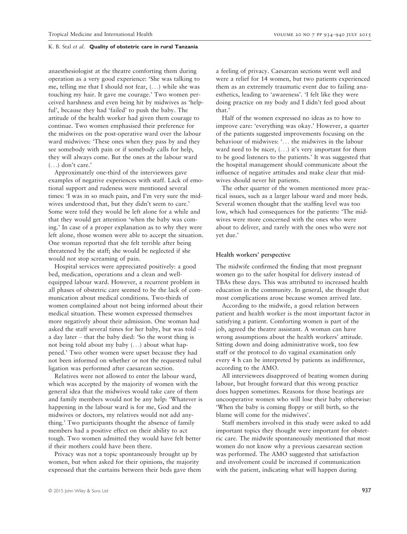anaesthesiologist at the theatre comforting them during operation as a very good experience: 'She was talking to me, telling me that I should not fear,  $(...)$  while she was touching my hair. It gave me courage.' Two women perceived harshness and even being hit by midwives as 'helpful', because they had 'failed' to push the baby. The attitude of the health worker had given them courage to continue. Two women emphasised their preference for the midwives on the post-operative ward over the labour ward midwives: 'These ones when they pass by and they see somebody with pain or if somebody calls for help, they will always come. But the ones at the labour ward (...) don't care.'

Approximately one-third of the interviewees gave examples of negative experiences with staff. Lack of emotional support and rudeness were mentioned several times: 'I was in so much pain, and I'm very sure the midwives understood that, but they didn't seem to care.' Some were told they would be left alone for a while and that they would get attention 'when the baby was coming.' In case of a proper explanation as to why they were left alone, those women were able to accept the situation. One woman reported that she felt terrible after being threatened by the staff; she would be neglected if she would not stop screaming of pain.

Hospital services were appreciated positively: a good bed, medication, operations and a clean and wellequipped labour ward. However, a recurrent problem in all phases of obstetric care seemed to be the lack of communication about medical conditions. Two-thirds of women complained about not being informed about their medical situation. These women expressed themselves more negatively about their admission. One woman had asked the staff several times for her baby, but was told – a day later – that the baby died: 'So the worst thing is not being told about my baby (...) about what happened.' Two other women were upset because they had not been informed on whether or not the requested tubal ligation was performed after caesarean section.

Relatives were not allowed to enter the labour ward, which was accepted by the majority of women with the general idea that the midwives would take care of them and family members would not be any help: 'Whatever is happening in the labour ward is for me, God and the midwives or doctors, my relatives would not add anything.' Two participants thought the absence of family members had a positive effect on their ability to act tough. Two women admitted they would have felt better if their mothers could have been there.

Privacy was not a topic spontaneously brought up by women, but when asked for their opinions, the majority expressed that the curtains between their beds gave them a feeling of privacy. Caesarean sections went well and were a relief for 14 women, but two patients experienced them as an extremely traumatic event due to failing anaesthetics, leading to 'awareness'. 'I felt like they were doing practice on my body and I didn't feel good about that.'

Half of the women expressed no ideas as to how to improve care: 'everything was okay.' However, a quarter of the patients suggested improvements focusing on the behaviour of midwives: '... the midwives in the labour ward need to be nicer,  $(...)$  it's very important for them to be good listeners to the patients.' It was suggested that the hospital management should communicate about the influence of negative attitudes and make clear that midwives should never hit patients.

The other quarter of the women mentioned more practical issues, such as a larger labour ward and more beds. Several women thought that the staffing level was too low, which had consequences for the patients: 'The midwives were more concerned with the ones who were about to deliver, and rarely with the ones who were not yet due.'

#### Health workers' perspective

The midwife confirmed the finding that most pregnant women go to the safer hospital for delivery instead of TBAs these days. This was attributed to increased health education in the community. In general, she thought that most complications arose because women arrived late.

According to the midwife, a good relation between patient and health worker is the most important factor in satisfying a patient. Comforting women is part of the job, agreed the theatre assistant. A woman can have wrong assumptions about the health workers' attitude. Sitting down and doing administrative work, too few staff or the protocol to do vaginal examination only every 4 h can be interpreted by patients as indifference, according to the AMO.

All interviewees disapproved of beating women during labour, but brought forward that this wrong practice does happen sometimes. Reasons for those beatings are uncooperative women who will lose their baby otherwise: 'When the baby is coming floppy or still birth, so the blame will come for the midwives'.

Staff members involved in this study were asked to add important topics they thought were important for obstetric care. The midwife spontaneously mentioned that most women do not know why a previous caesarean section was performed. The AMO suggested that satisfaction and involvement could be increased if communication with the patient, indicating what will happen during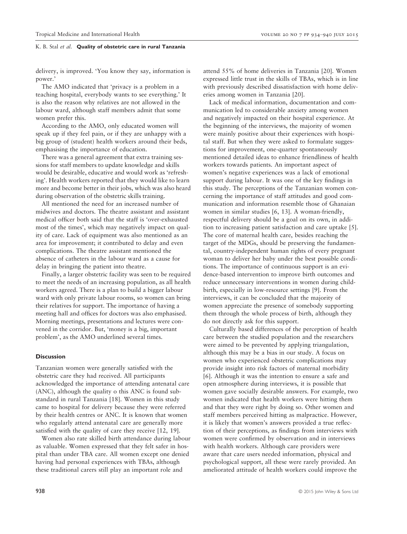delivery, is improved. 'You know they say, information is power.'

The AMO indicated that 'privacy is a problem in a teaching hospital, everybody wants to see everything.' It is also the reason why relatives are not allowed in the labour ward, although staff members admit that some women prefer this.

According to the AMO, only educated women will speak up if they feel pain, or if they are unhappy with a big group of (student) health workers around their beds, emphasising the importance of education.

There was a general agreement that extra training sessions for staff members to update knowledge and skills would be desirable, educative and would work as 'refreshing'. Health workers reported that they would like to learn more and become better in their jobs, which was also heard during observation of the obstetric skills training.

All mentioned the need for an increased number of midwives and doctors. The theatre assistant and assistant medical officer both said that the staff is 'over-exhausted most of the times', which may negatively impact on quality of care. Lack of equipment was also mentioned as an area for improvement; it contributed to delay and even complications. The theatre assistant mentioned the absence of catheters in the labour ward as a cause for delay in bringing the patient into theatre.

Finally, a larger obstetric facility was seen to be required to meet the needs of an increasing population, as all health workers agreed. There is a plan to build a bigger labour ward with only private labour rooms, so women can bring their relatives for support. The importance of having a meeting hall and offices for doctors was also emphasised. Morning meetings, presentations and lectures were convened in the corridor. But, 'money is a big, important problem', as the AMO underlined several times.

# **Discussion**

Tanzanian women were generally satisfied with the obstetric care they had received. All participants acknowledged the importance of attending antenatal care (ANC), although the quality o this ANC is found substandard in rural Tanzania [18]. Women in this study came to hospital for delivery because they were referred by their health centres or ANC. It is known that women who regularly attend antenatal care are generally more satisfied with the quality of care they receive [12, 19].

Women also rate skilled birth attendance during labour as valuable. Women expressed that they felt safer in hospital than under TBA care. All women except one denied having had personal experiences with TBAs, although these traditional carers still play an important role and

attend 55% of home deliveries in Tanzania [20]. Women expressed little trust in the skills of TBAs, which is in line with previously described dissatisfaction with home deliveries among women in Tanzania [20].

Lack of medical information, documentation and communication led to considerable anxiety among women and negatively impacted on their hospital experience. At the beginning of the interviews, the majority of women were mainly positive about their experiences with hospital staff. But when they were asked to formulate suggestions for improvement, one-quarter spontaneously mentioned detailed ideas to enhance friendliness of health workers towards patients. An important aspect of women's negative experiences was a lack of emotional support during labour. It was one of the key findings in this study. The perceptions of the Tanzanian women concerning the importance of staff attitudes and good communication and information resemble those of Ghanaian women in similar studies [6, 13]. A woman-friendly, respectful delivery should be a goal on its own, in addition to increasing patient satisfaction and care uptake [5]. The core of maternal health care, besides reaching the target of the MDGs, should be preserving the fundamental, country-independent human rights of every pregnant woman to deliver her baby under the best possible conditions. The importance of continuous support is an evidence-based intervention to improve birth outcomes and reduce unnecessary interventions in women during childbirth, especially in low-resource settings [9]. From the interviews, it can be concluded that the majority of women appreciate the presence of somebody supporting them through the whole process of birth, although they do not directly ask for this support.

Culturally based differences of the perception of health care between the studied population and the researchers were aimed to be prevented by applying triangulation, although this may be a bias in our study. A focus on women who experienced obstetric complications may provide insight into risk factors of maternal morbidity [6]. Although it was the intention to ensure a safe and open atmosphere during interviews, it is possible that women gave socially desirable answers. For example, two women indicated that health workers were hitting them and that they were right by doing so. Other women and staff members perceived hitting as malpractice. However, it is likely that women's answers provided a true reflection of their perceptions, as findings from interviews with women were confirmed by observation and in interviews with health workers. Although care providers were aware that care users needed information, physical and psychological support, all these were rarely provided. An ameliorated attitude of health workers could improve the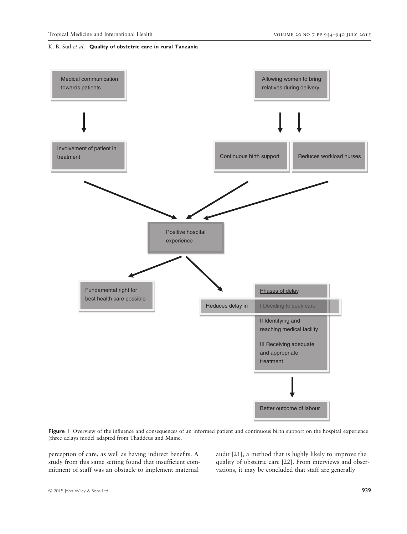

Figure 1 Overview of the influence and consequences of an informed patient and continuous birth support on the hospital experience (three delays model adapted from Thaddeus and Maine.

perception of care, as well as having indirect benefits. A study from this same setting found that insufficient commitment of staff was an obstacle to implement maternal

audit [21], a method that is highly likely to improve the quality of obstetric care [22]. From interviews and observations, it may be concluded that staff are generally